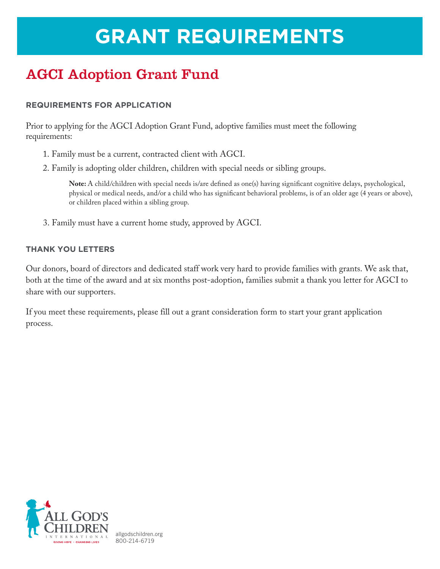# **GRANT REQUIREMENTS**

## AGCI Adoption Grant Fund

#### **REQUIREMENTS FOR APPLICATION**

Prior to applying for the AGCI Adoption Grant Fund, adoptive families must meet the following requirements:

- 1. Family must be a current, contracted client with AGCI.
- 2. Family is adopting older children, children with special needs or sibling groups.

**Note:** A child/children with special needs is/are defined as one(s) having significant cognitive delays, psychological, physical or medical needs, and/or a child who has significant behavioral problems, is of an older age (4 years or above), or children placed within a sibling group.

3. Family must have a current home study, approved by AGCI.

#### **THANK YOU LETTERS**

Our donors, board of directors and dedicated staff work very hard to provide families with grants. We ask that, both at the time of the award and at six months post-adoption, families submit a thank you letter for AGCI to share with our supporters.

If you meet these requirements, please fill out a grant consideration form to start your grant application process.

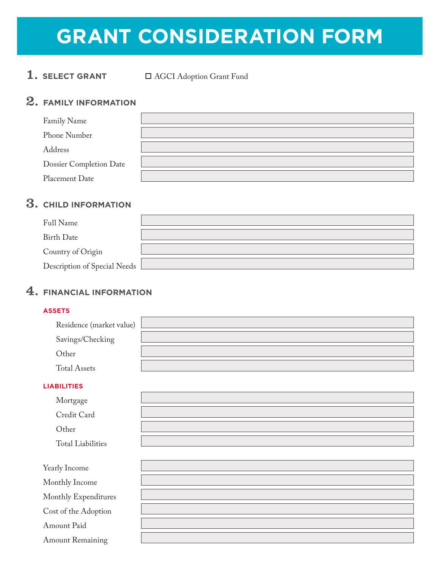# **GRANT CONSIDERATION FORM**

## 1. **SELECT GRANT**  $\Box$  AGCI Adoption Grant Fund

### 2. **FAMILY INFORMATION**

| Family Name                    |  |
|--------------------------------|--|
| Phone Number                   |  |
| Address                        |  |
| <b>Dossier Completion Date</b> |  |
| Placement Date                 |  |

## 3. **CHILD INFORMATION**

| Full Name                    |  |
|------------------------------|--|
| Birth Date                   |  |
| Country of Origin            |  |
| Description of Special Needs |  |

#### 4. **FINANCIAL INFORMATION**

#### **ASSETS**

| Residence (market value) |  |
|--------------------------|--|
| Savings/Checking         |  |
| Other                    |  |
| <b>Total Assets</b>      |  |

#### **LIABILITIES**

| Credit Card |
|-------------|
|             |

Other

Total Liabilities

| Yearly Income           |  |
|-------------------------|--|
| Monthly Income          |  |
| Monthly Expenditures    |  |
| Cost of the Adoption    |  |
| Amount Paid             |  |
| <b>Amount Remaining</b> |  |